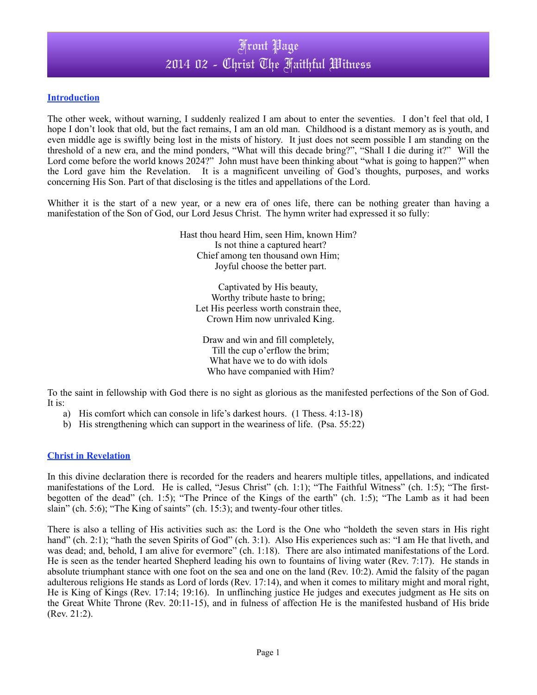## Front Page 2014 02 - Christ The Faithful Witness

### **Introduction**

The other week, without warning, I suddenly realized I am about to enter the seventies. I don't feel that old, I hope I don't look that old, but the fact remains, I am an old man. Childhood is a distant memory as is youth, and even middle age is swiftly being lost in the mists of history. It just does not seem possible I am standing on the threshold of a new era, and the mind ponders, "What will this decade bring?", "Shall I die during it?" Will the Lord come before the world knows 2024?" John must have been thinking about "what is going to happen?" when the Lord gave him the Revelation. It is a magnificent unveiling of God's thoughts, purposes, and works concerning His Son. Part of that disclosing is the titles and appellations of the Lord.

Whither it is the start of a new year, or a new era of ones life, there can be nothing greater than having a manifestation of the Son of God, our Lord Jesus Christ. The hymn writer had expressed it so fully:

> Hast thou heard Him, seen Him, known Him? Is not thine a captured heart? Chief among ten thousand own Him; Joyful choose the better part.

Captivated by His beauty, Worthy tribute haste to bring; Let His peerless worth constrain thee, Crown Him now unrivaled King.

Draw and win and fill completely, Till the cup o'erflow the brim; What have we to do with idols Who have companied with Him?

To the saint in fellowship with God there is no sight as glorious as the manifested perfections of the Son of God. It is:

- a) His comfort which can console in life's darkest hours. (1 Thess. 4:13-18)
- b) His strengthening which can support in the weariness of life. (Psa. 55:22)

### **Christ in Revelation**

In this divine declaration there is recorded for the readers and hearers multiple titles, appellations, and indicated manifestations of the Lord. He is called, "Jesus Christ" (ch. 1:1); "The Faithful Witness" (ch. 1:5); "The firstbegotten of the dead" (ch. 1:5); "The Prince of the Kings of the earth" (ch. 1:5); "The Lamb as it had been slain" (ch. 5:6); "The King of saints" (ch. 15:3); and twenty-four other titles.

There is also a telling of His activities such as: the Lord is the One who "holdeth the seven stars in His right hand" (ch. 2:1); "hath the seven Spirits of God" (ch. 3:1). Also His experiences such as: "I am He that liveth, and was dead; and, behold, I am alive for evermore" (ch. 1:18). There are also intimated manifestations of the Lord. He is seen as the tender hearted Shepherd leading his own to fountains of living water (Rev. 7:17). He stands in absolute triumphant stance with one foot on the sea and one on the land (Rev. 10:2). Amid the falsity of the pagan adulterous religions He stands as Lord of lords (Rev. 17:14), and when it comes to military might and moral right, He is King of Kings (Rev. 17:14; 19:16). In unflinching justice He judges and executes judgment as He sits on the Great White Throne (Rev. 20:11-15), and in fulness of affection He is the manifested husband of His bride (Rev. 21:2).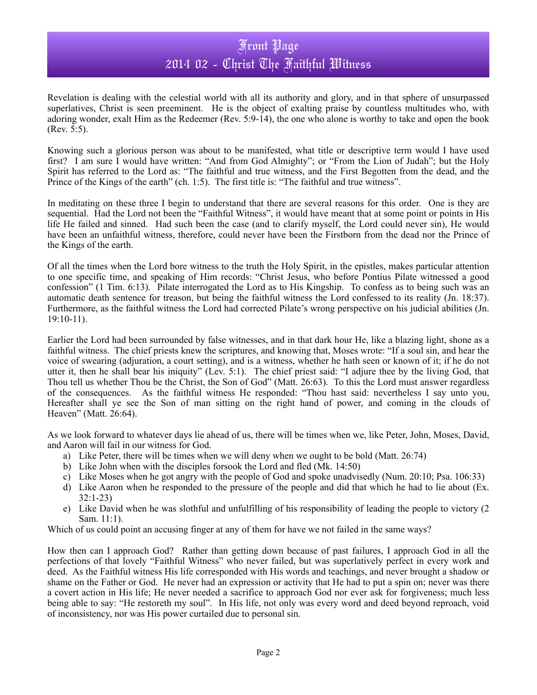## Front Page 2014 02 - Christ The Faithful Witness

Revelation is dealing with the celestial world with all its authority and glory, and in that sphere of unsurpassed superlatives. Christ is seen preeminent. He is the object of exalting praise by countless multitudes who, with adoring wonder, exalt Him as the Redeemer (Rev. 5:9-14), the one who alone is worthy to take and open the book (Rev. 5:5).

Knowing such a glorious person was about to be manifested, what title or descriptive term would I have used first? I am sure I would have written: "And from God Almighty"; or "From the Lion of Judah"; but the Holy Spirit has referred to the Lord as: "The faithful and true witness, and the First Begotten from the dead, and the Prince of the Kings of the earth" (ch. 1:5). The first title is: "The faithful and true witness".

In meditating on these three I begin to understand that there are several reasons for this order. One is they are sequential. Had the Lord not been the "Faithful Witness", it would have meant that at some point or points in His life He failed and sinned. Had such been the case (and to clarify myself, the Lord could never sin), He would have been an unfaithful witness, therefore, could never have been the Firstborn from the dead nor the Prince of the Kings of the earth.

Of all the times when the Lord bore witness to the truth the Holy Spirit, in the epistles, makes particular attention to one specific time, and speaking of Him records: "Christ Jesus, who before Pontius Pilate witnessed a good confession" (1 Tim. 6:13). Pilate interrogated the Lord as to His Kingship. To confess as to being such was an automatic death sentence for treason, but being the faithful witness the Lord confessed to its reality (Jn. 18:37). Furthermore, as the faithful witness the Lord had corrected Pilate's wrong perspective on his judicial abilities (Jn. 19:10-11).

Earlier the Lord had been surrounded by false witnesses, and in that dark hour He, like a blazing light, shone as a faithful witness. The chief priests knew the scriptures, and knowing that, Moses wrote: "If a soul sin, and hear the voice of swearing (adjuration, a court setting), and is a witness, whether he hath seen or known of it; if he do not utter it, then he shall bear his iniquity" (Lev. 5:1). The chief priest said: "I adjure thee by the living God, that Thou tell us whether Thou be the Christ, the Son of God" (Matt. 26:63). To this the Lord must answer regardless of the consequences. As the faithful witness He responded: "Thou hast said: nevertheless I say unto you, Hereafter shall ye see the Son of man sitting on the right hand of power, and coming in the clouds of Heaven" (Matt. 26:64).

As we look forward to whatever days lie ahead of us, there will be times when we, like Peter, John, Moses, David, and Aaron will fail in our witness for God.

- a) Like Peter, there will be times when we will deny when we ought to be bold (Matt. 26:74)
- b) Like John when with the disciples forsook the Lord and fled (Mk. 14:50)
- c) Like Moses when he got angry with the people of God and spoke unadvisedly (Num. 20:10; Psa. 106:33)
- d) Like Aaron when he responded to the pressure of the people and did that which he had to lie about (Ex. 32:1-23)
- e) Like David when he was slothful and unfulfilling of his responsibility of leading the people to victory (2 Sam. 11:1).

Which of us could point an accusing finger at any of them for have we not failed in the same ways?

How then can I approach God? Rather than getting down because of past failures, I approach God in all the perfections of that lovely "Faithful Witness" who never failed, but was superlatively perfect in every work and deed. As the Faithful witness His life corresponded with His words and teachings, and never brought a shadow or shame on the Father or God. He never had an expression or activity that He had to put a spin on; never was there a covert action in His life; He never needed a sacrifice to approach God nor ever ask for forgiveness; much less being able to say: "He restoreth my soul". In His life, not only was every word and deed beyond reproach, void of inconsistency, nor was His power curtailed due to personal sin.